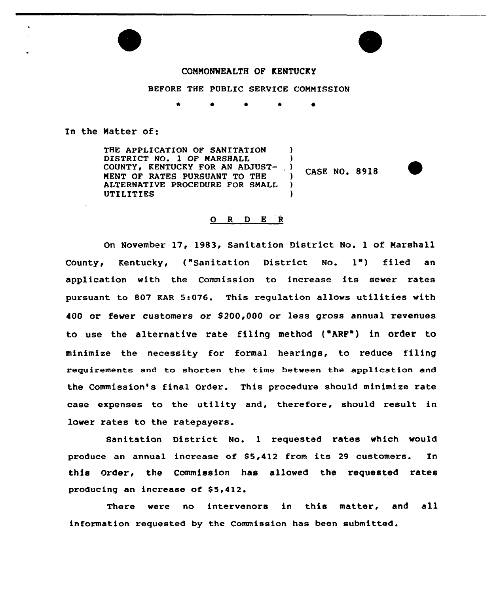

# COMMONWEALTH OF KENTUCKY

BEFORE THE PUBLIC SERVICE COMMISSION

\* \* \*

In the Natter of:

THE APPLICATION OF SANITATION DISTRICT NO. 1 OF MARSHALL COUNTY, KENTUCKY FOR AN ADJUST-MENT OF RATES PURSUANT TO THE ALTERNATIVE PROCEDURE FOR SMALL UTILITIES  $\overline{\phantom{a}}$ 

CASE NO. 8918

 $\lambda$ 

 $\left\langle \right\rangle$ 

)

## 0 <sup>R</sup> <sup>D</sup> <sup>E</sup> <sup>R</sup>

On November 17, 1983, Sanitation District No. 1 of Narshall County, Kentucky, ("Sanitation District No. 1") filed an application with the Commission to increase its sewer rates pursuant to 807 KAR 5:076. This regulation allows utilities with 400 or fewer customers or \$ 200,000 or less gross annual revenues to use the alternative rate filing method ("ARF") in order to minimize the necessity for formal hearings, to reduce filing requirements and to shorten the time between the application and the Commission's final Order. This procedure should minimize rate case expenses to the utility and, therefore, should result in lower rates to the ratepayers.

Sanitation District No. 1 requested rates which would produce an annual increase of 85,412 from its <sup>29</sup> customers. In this Order, the Commission has allowed the requested rates producing an increase of \$5,412.

There were no intervenors in this matter, and all information requested by the Commission has been submitted.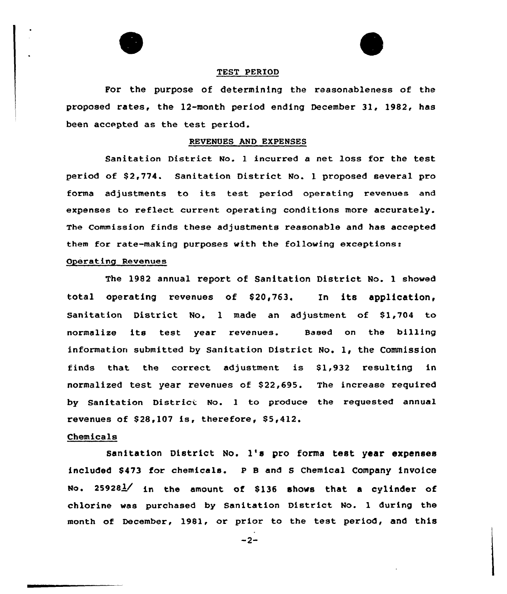

## TEST PERIOD

For the purpose of determining the reasonableness of the proposed rates, the 12-month period ending December 31, 1982, has been accepted as the test period.

## REVENUES AND EXPENSES

Sanitation District No. <sup>1</sup> incurred a net loss for the test period of S2,774. Sanitation District No. 1 proposed several pro forma adjustments to its test period operating revenues and expenses to reflect current operating conditions more accurately. The Commission finds these adjustments reasonable and has accepted them for rate-making purposes with the following exceptions:

# Operating Revenues

The 1982 annual report of Sanitation District No. 1 showed total operating revenues of S20,763. In its application, Sanitation District No. 1 made an adjustment of S1,704 to normalize its test year revenues. Based on the billing information submitted by sanitation District No. 1, the Commission finds that the correct adjustment is Sl,932 resulting in normalized test year revenues of S22,695. The increase required by Sanitation District No. 1 to produce the requested annual revenues of S28,1Q7 is, therefore, S5,412.

# Chemicals

sanitation District No. 1's pro forma test year expenses included \$473 for chemicals. <sup>p</sup> 8 and s chemical company invoice No.  $25928\frac{1}{1}$  in the amount of \$136 shows that a cylinder of chlorine was purchased by Sanitation District No. <sup>1</sup> during the month of December, 1981, or prior to the test period, and this

 $-2-$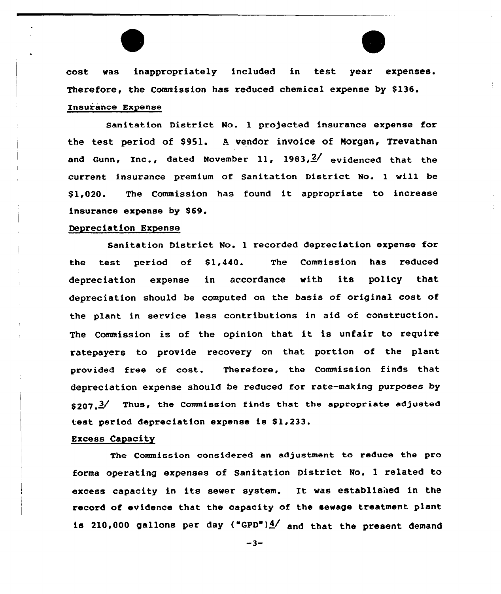cost was inappropriately included in test year expenses. Therefore, the Commission has reduced chemical expense by \$136. Insurance Expense

Sanitation District No. <sup>1</sup> projected insurance expense for the test period of \$951. <sup>A</sup> vendor invoice of Norgan, Trevathan and Gunn, Inc., dated November 11, 1983, $\frac{2}{ }$  evidenced that the current insurance premium of Sanitation District No. l will be \$ 1,020. The Commission has found it appropriate to increase insurance expense by \$69.

# Depreciation Expense

Sanitation District No. 1 recorded depreciation expense for the test period of  $$1,440$ . The Commission has reduced depreciation expense in accordance with its policy that depreciation should be computed on the basis of original cost of the plant in service less contributions in aid of construction. The Commission is of the opinion that it is unfair to require ratepayers to provide recovery on that portion of the plant provided free of cost. Therefore, the Commission finds that depreciation expense should be reduced for rate-making purposes by  $$207. \frac{3}{100}$  Thus, the Commission finds that the appropriate adjusted test period depreciation expense is \$1,233.

## Excess Capacity

The Commission considered an adjustment to reduce the pro forma operating expenses of Sanitation District No. 1 related to excess capacity in its sewer system. It was established in the record of evidence that the capacity of the sewage treatment plant is 210,000 gallons per day ("GPD") $4/$  and that the present demand

 $-3-$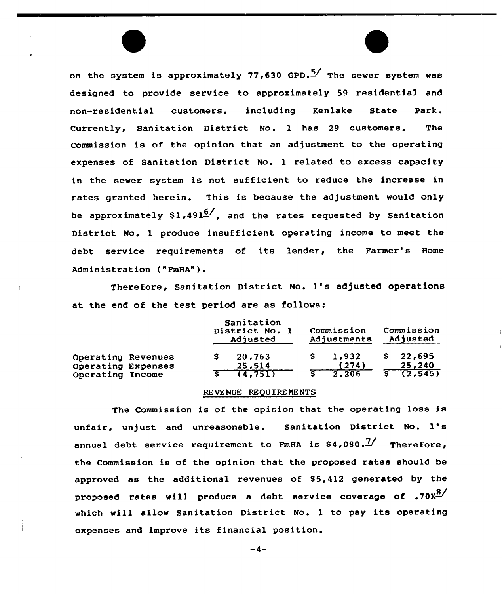on the system is approximately 77,630 GPD.<sup>5/</sup> The sewer system was designed to provide service to approximately 59 residential and non-residential customers, including Kenlake State park. Currently, Sanitation District No. 1 has 29 customers. The Commission is of the opinion that an adjustment to the operating expenses of Sanitation District No. 1 related to excess capacity in the sewer system is not sufficient to reduce the increase in rates granted herein. This is because the adjustment would only be approximately \$1,491 $^{6\prime}$ , and the rates requested by Sanitatic District No. 1 produce insufficient operating income to meet the debt service requirements of its lender, the Farmer's Home Administration ("FmHA").

Therefore, Sanitation District No. 1's adjusted operations at the end of the test period are as follows:

|                                          |  | Sanitation<br>District No. 1<br>Adjusted |                  | Commission<br>Adjustments |                | Commission<br>Adjusted |                  |
|------------------------------------------|--|------------------------------------------|------------------|---------------------------|----------------|------------------------|------------------|
| Operating Revenues<br>Operating Expenses |  |                                          | 20,763<br>25,514 |                           | 1,932<br>(274) | s                      | 22,695<br>25,240 |
| Operating Income                         |  |                                          | (4, 751)         |                           | 2.206          |                        | (2, 545)         |

# REVENUE REQUIREMENTS

The Commission is of the opinion that the operating loss is unfair, unjust and unreasonable. Sanitation District No. 1's annual debt service requirement to FmHA is  $$4,080.^{7/}$  Therefore, the Commission is of the opinion that the proposed rates should be approved as the additional revenues of  $$5,412$  generated by the proposed rates will produce a debt service coverage of  $.70x<sup>8</sup>$ which will allow Sanitation District No. <sup>1</sup> to pay its operating expenses and improve its financial position.

 $-4-$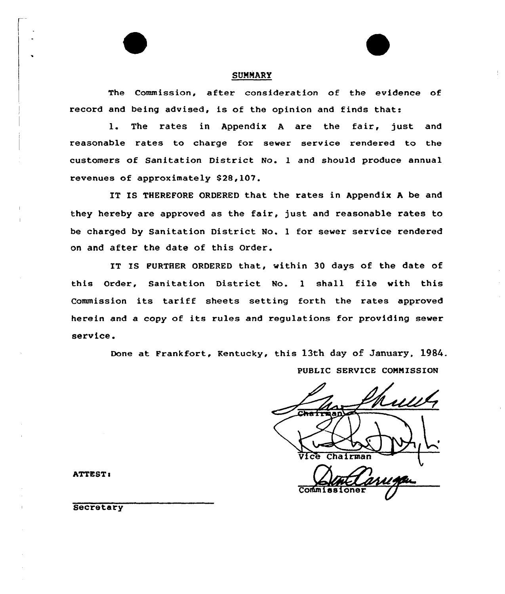## **SUMMARY**

The Commission, after consideration of the evidence of record and being advised, is of the opinion and finds that:

1. The rates in Appendix <sup>A</sup> are the fair, just and reasonable rates to charge for sewer service rendered to the customers of Sanitation District No. 1 and should produce annual revenues of approximately \$28,107.

IT IS THEREFORE ORDERED that the rates in Appendix <sup>A</sup> be and they hereby are approved as the fair, just and reasonable rates to be charged by Sanitation District No. 1 for sewer service rendered on and after the date of this Order.

IT IS FURTHER ORDERED that, within 30 days of the date of this Order, Sanitation District No. <sup>1</sup> shall file with this Commission its tariff sheets setting forth the rates approved herein and <sup>a</sup> copy of its rules and regulations for providing sewer service.

> Done at Frankfort, Kentucky, this 13th day of January, 1984. PUBLIC SERVICE COMMISSION

Chairman **Co** 

ATTEST:

**Secretary**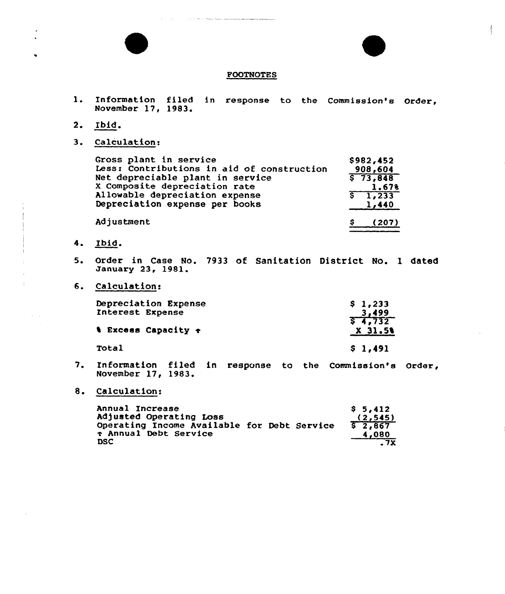

\$ (207)

### FOOTNOTES

- $1.$ Information filed in response to the Commission's Order, November 17, 1983.
- 2. Ibid.
- 3. Calculation:

Gross plant in service 8982,452 Less: Contributions in aid of construction 908,604 Net depreciable plant in service  $573,848$ <sup>X</sup> Composite depreciation rate 1 <sup>~</sup> 67% Allowable depreciation expense ङ li233 Depreciation expense per hooks  $1,440$ 

Adjustment

- 4. Ibid.
- 5. Order in Case No. 7933 of Sanitation District No. 1 dated january 23, 1981.
- 6. Calculation:

| Depreciation Expense<br>Interest Expense | \$1,233<br>3,499    |
|------------------------------------------|---------------------|
| <b>&amp; Excess Capacity +</b>           | 57.732<br>$X$ 31.5% |
| Total                                    | \$1,491             |

- 7. Information filed in response to the Commission's Order November 17, 1983.
- Calculation:

| Annual Increase<br>Adjusted Operating Loss                                       |  | S <sub>5.412</sub><br>(2, 545) |
|----------------------------------------------------------------------------------|--|--------------------------------|
| Operating Income Available for Debt Service<br>Annual Debt Service<br><b>DSC</b> |  | 52,867<br>4,080<br>. 7X        |